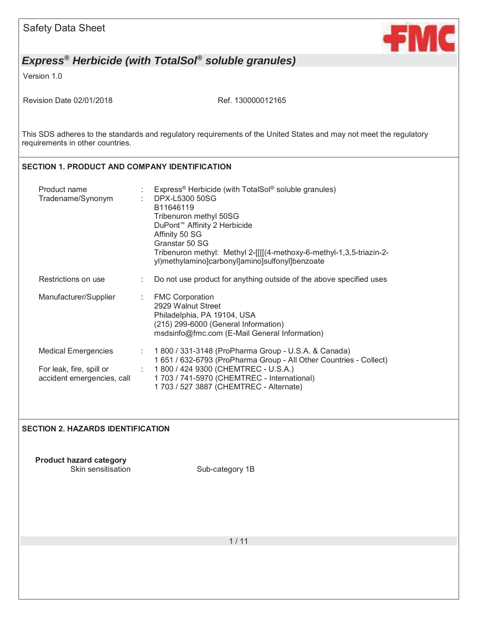

Version 1.0

Revision Date 02/01/2018 Ref. 130000012165

This SDS adheres to the standards and regulatory requirements of the United States and may not meet the regulatory requirements in other countries.

#### **SECTION 1. PRODUCT AND COMPANY IDENTIFICATION**

| Product name<br>Tradename/Synonym                      |      | Express <sup>®</sup> Herbicide (with TotalSol <sup>®</sup> soluble granules)<br>DPX-L5300 50SG<br>B11646119<br>Tribenuron methyl 50SG<br>DuPont <sup>™</sup> Affinity 2 Herbicide<br>Affinity 50 SG<br>Granstar 50 SG<br>Tribenuron methyl: Methyl 2-[[[[(4-methoxy-6-methyl-1,3,5-triazin-2-<br>yl)methylamino]carbonyl]amino]sulfonyl]benzoate |
|--------------------------------------------------------|------|--------------------------------------------------------------------------------------------------------------------------------------------------------------------------------------------------------------------------------------------------------------------------------------------------------------------------------------------------|
| Restrictions on use                                    |      | Do not use product for anything outside of the above specified uses                                                                                                                                                                                                                                                                              |
| Manufacturer/Supplier                                  | t in | <b>FMC Corporation</b><br>2929 Walnut Street<br>Philadelphia, PA 19104, USA<br>(215) 299-6000 (General Information)<br>msdsinfo@fmc.com (E-Mail General Information)                                                                                                                                                                             |
| <b>Medical Emergencies</b>                             |      | : 1 800 / 331-3148 (ProPharma Group - U.S.A. & Canada)<br>1 651 / 632-6793 (ProPharma Group - All Other Countries - Collect)                                                                                                                                                                                                                     |
| For leak, fire, spill or<br>accident emergencies, call |      | $\pm$ 1800 / 424 9300 (CHEMTREC - U.S.A.)<br>1 703 / 741-5970 (CHEMTREC - International)<br>1703 / 527 3887 (CHEMTREC - Alternate)                                                                                                                                                                                                               |

#### **SECTION 2. HAZARDS IDENTIFICATION**

**Product hazard category** 

Sub-category 1B

1 / 11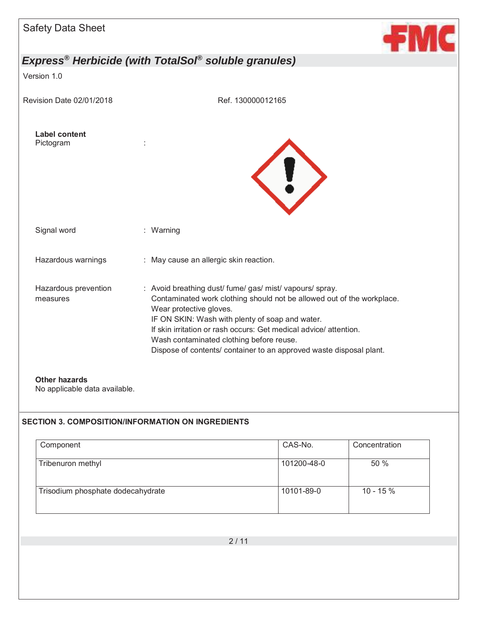| <b>Safety Data Sheet</b>          |                                                                                                                                                                                                                                                                                                                                                                                                         |  |
|-----------------------------------|---------------------------------------------------------------------------------------------------------------------------------------------------------------------------------------------------------------------------------------------------------------------------------------------------------------------------------------------------------------------------------------------------------|--|
|                                   | Express <sup>®</sup> Herbicide (with TotalSol <sup>®</sup> soluble granules)                                                                                                                                                                                                                                                                                                                            |  |
| Version 1.0                       |                                                                                                                                                                                                                                                                                                                                                                                                         |  |
| Revision Date 02/01/2018          | Ref. 130000012165                                                                                                                                                                                                                                                                                                                                                                                       |  |
| <b>Label content</b><br>Pictogram |                                                                                                                                                                                                                                                                                                                                                                                                         |  |
| Signal word                       | : Warning                                                                                                                                                                                                                                                                                                                                                                                               |  |
| Hazardous warnings                | : May cause an allergic skin reaction.                                                                                                                                                                                                                                                                                                                                                                  |  |
| Hazardous prevention<br>measures  | : Avoid breathing dust/ fume/ gas/ mist/ vapours/ spray.<br>Contaminated work clothing should not be allowed out of the workplace.<br>Wear protective gloves.<br>IF ON SKIN: Wash with plenty of soap and water.<br>If skin irritation or rash occurs: Get medical advice/attention.<br>Wash contaminated clothing before reuse.<br>Dispose of contents/ container to an approved waste disposal plant. |  |
| <b>Other hazards</b>              |                                                                                                                                                                                                                                                                                                                                                                                                         |  |

## No applicable data available.

### **SECTION 3. COMPOSITION/INFORMATION ON INGREDIENTS**

| Component                         | CAS-No.     | Concentration |
|-----------------------------------|-------------|---------------|
| Tribenuron methyl                 | 101200-48-0 | 50%           |
| Trisodium phosphate dodecahydrate | 10101-89-0  | $10 - 15 \%$  |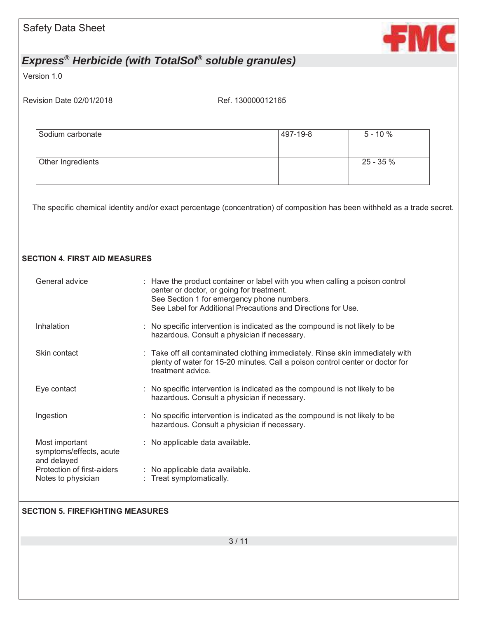| <b>Safety Data Sheet</b>                                        |                                                                                                                                                                                                                                         |          | <b>fmc</b> |
|-----------------------------------------------------------------|-----------------------------------------------------------------------------------------------------------------------------------------------------------------------------------------------------------------------------------------|----------|------------|
|                                                                 | Express <sup>®</sup> Herbicide (with TotalSol <sup>®</sup> soluble granules)                                                                                                                                                            |          |            |
| Version 1.0                                                     |                                                                                                                                                                                                                                         |          |            |
| Revision Date 02/01/2018                                        | Ref. 130000012165                                                                                                                                                                                                                       |          |            |
|                                                                 |                                                                                                                                                                                                                                         |          |            |
| Sodium carbonate                                                |                                                                                                                                                                                                                                         | 497-19-8 | $5 - 10%$  |
| Other Ingredients                                               |                                                                                                                                                                                                                                         |          | 25 - 35 %  |
|                                                                 | The specific chemical identity and/or exact percentage (concentration) of composition has been withheld as a trade secret.                                                                                                              |          |            |
| <b>SECTION 4. FIRST AID MEASURES</b>                            |                                                                                                                                                                                                                                         |          |            |
| General advice                                                  | : Have the product container or label with you when calling a poison control<br>center or doctor, or going for treatment.<br>See Section 1 for emergency phone numbers.<br>See Label for Additional Precautions and Directions for Use. |          |            |
| Inhalation                                                      | : No specific intervention is indicated as the compound is not likely to be<br>hazardous. Consult a physician if necessary.                                                                                                             |          |            |
| Skin contact                                                    | Take off all contaminated clothing immediately. Rinse skin immediately with<br>plenty of water for 15-20 minutes. Call a poison control center or doctor for<br>treatment advice.                                                       |          |            |
| Eye contact                                                     | No specific intervention is indicated as the compound is not likely to be<br>hazardous. Consult a physician if necessary.                                                                                                               |          |            |
| Ingestion                                                       | No specific intervention is indicated as the compound is not likely to be<br>hazardous. Consult a physician if necessary.                                                                                                               |          |            |
| Most important<br>symptoms/effects, acute                       | : No applicable data available.                                                                                                                                                                                                         |          |            |
| and delayed<br>Protection of first-aiders<br>Notes to physician | No applicable data available.<br>: Treat symptomatically.                                                                                                                                                                               |          |            |
| <b>SECTION 5. FIREFIGHTING MEASURES</b>                         |                                                                                                                                                                                                                                         |          |            |
|                                                                 |                                                                                                                                                                                                                                         |          |            |
|                                                                 | 3/11                                                                                                                                                                                                                                    |          |            |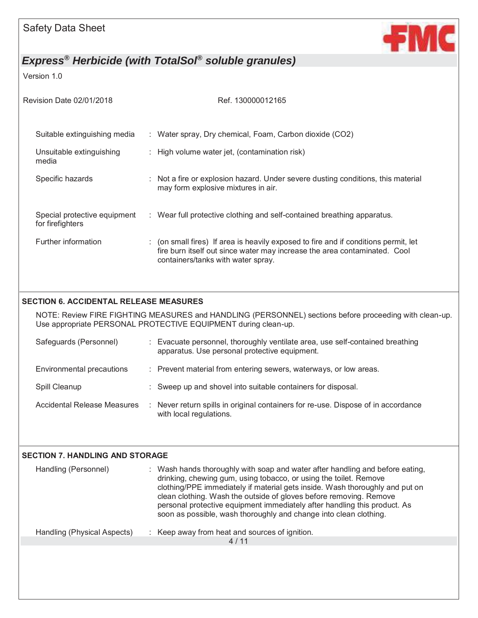

Version 1.0

| Revision Date 02/01/2018                         | Ref. 130000012165                                                                                                                                                                                      |  |
|--------------------------------------------------|--------------------------------------------------------------------------------------------------------------------------------------------------------------------------------------------------------|--|
| Suitable extinguishing media                     | : Water spray, Dry chemical, Foam, Carbon dioxide (CO2)                                                                                                                                                |  |
| Unsuitable extinguishing<br>media                | $\therefore$ High volume water jet, (contamination risk)                                                                                                                                               |  |
| Specific hazards                                 | : Not a fire or explosion hazard. Under severe dusting conditions, this material<br>may form explosive mixtures in air.                                                                                |  |
| Special protective equipment<br>for firefighters | : Wear full protective clothing and self-contained breathing apparatus.                                                                                                                                |  |
| Further information                              | : (on small fires) If area is heavily exposed to fire and if conditions permit, let<br>fire burn itself out since water may increase the area contaminated. Cool<br>containers/tanks with water spray. |  |

#### **SECTION 6. ACCIDENTAL RELEASE MEASURES**

NOTE: Review FIRE FIGHTING MEASURES and HANDLING (PERSONNEL) sections before proceeding with clean-up. Use appropriate PERSONAL PROTECTIVE EQUIPMENT during clean-up.

| Safeguards (Personnel)      | : Evacuate personnel, thoroughly ventilate area, use self-contained breathing<br>apparatus. Use personal protective equipment. |
|-----------------------------|--------------------------------------------------------------------------------------------------------------------------------|
| Environmental precautions   | : Prevent material from entering sewers, waterways, or low areas.                                                              |
| Spill Cleanup               | : Sweep up and shovel into suitable containers for disposal.                                                                   |
| Accidental Release Measures | Never return spills in original containers for re-use. Dispose of in accordance<br>with local regulations.                     |

| <b>SECTION 7. HANDLING AND STORAGE</b> |                                                                                                                                                                                                                                                                                                                                                                                                                                                            |  |
|----------------------------------------|------------------------------------------------------------------------------------------------------------------------------------------------------------------------------------------------------------------------------------------------------------------------------------------------------------------------------------------------------------------------------------------------------------------------------------------------------------|--|
| Handling (Personnel)                   | : Wash hands thoroughly with soap and water after handling and before eating,<br>drinking, chewing gum, using tobacco, or using the toilet. Remove<br>clothing/PPE immediately if material gets inside. Wash thoroughly and put on<br>clean clothing. Wash the outside of gloves before removing. Remove<br>personal protective equipment immediately after handling this product. As<br>soon as possible, wash thoroughly and change into clean clothing. |  |
| Handling (Physical Aspects)            | : Keep away from heat and sources of ignition.                                                                                                                                                                                                                                                                                                                                                                                                             |  |
|                                        | 4/11                                                                                                                                                                                                                                                                                                                                                                                                                                                       |  |
|                                        |                                                                                                                                                                                                                                                                                                                                                                                                                                                            |  |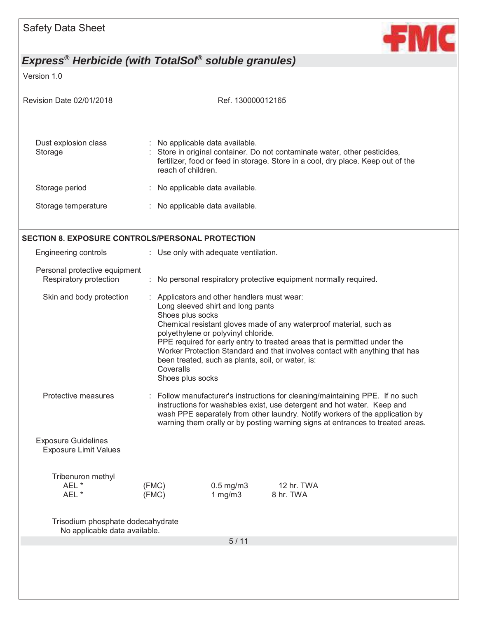

Version 1.0

| Revision Date 02/01/2018                                           |                                                   | Ref. 130000012165                                                                                                                                                            |                                                                                                                                                                                                                                                                                                                            |
|--------------------------------------------------------------------|---------------------------------------------------|------------------------------------------------------------------------------------------------------------------------------------------------------------------------------|----------------------------------------------------------------------------------------------------------------------------------------------------------------------------------------------------------------------------------------------------------------------------------------------------------------------------|
| Dust explosion class<br>Storage                                    | reach of children.                                | : No applicable data available.                                                                                                                                              | : Store in original container. Do not contaminate water, other pesticides,<br>fertilizer, food or feed in storage. Store in a cool, dry place. Keep out of the                                                                                                                                                             |
| Storage period                                                     |                                                   | : No applicable data available.                                                                                                                                              |                                                                                                                                                                                                                                                                                                                            |
| Storage temperature                                                |                                                   | : No applicable data available.                                                                                                                                              |                                                                                                                                                                                                                                                                                                                            |
| <b>SECTION 8. EXPOSURE CONTROLS/PERSONAL PROTECTION</b>            |                                                   |                                                                                                                                                                              |                                                                                                                                                                                                                                                                                                                            |
| Engineering controls                                               |                                                   | : Use only with adequate ventilation.                                                                                                                                        |                                                                                                                                                                                                                                                                                                                            |
| Personal protective equipment<br>Respiratory protection            |                                                   |                                                                                                                                                                              | : No personal respiratory protective equipment normally required.                                                                                                                                                                                                                                                          |
| Skin and body protection                                           | Shoes plus socks<br>Coveralls<br>Shoes plus socks | : Applicators and other handlers must wear:<br>Long sleeved shirt and long pants<br>polyethylene or polyvinyl chloride.<br>been treated, such as plants, soil, or water, is: | Chemical resistant gloves made of any waterproof material, such as<br>PPE required for early entry to treated areas that is permitted under the<br>Worker Protection Standard and that involves contact with anything that has                                                                                             |
| Protective measures                                                |                                                   |                                                                                                                                                                              | : Follow manufacturer's instructions for cleaning/maintaining PPE. If no such<br>instructions for washables exist, use detergent and hot water. Keep and<br>wash PPE separately from other laundry. Notify workers of the application by<br>warning them orally or by posting warning signs at entrances to treated areas. |
| <b>Exposure Guidelines</b><br><b>Exposure Limit Values</b>         |                                                   |                                                                                                                                                                              |                                                                                                                                                                                                                                                                                                                            |
| Tribenuron methyl<br>AEL *<br>AEL*                                 | (FMC)<br>(FMC)                                    | $0.5$ mg/m $3$<br>1 $mg/m3$                                                                                                                                                  | 12 hr. TWA<br>8 hr. TWA                                                                                                                                                                                                                                                                                                    |
| Trisodium phosphate dodecahydrate<br>No applicable data available. |                                                   |                                                                                                                                                                              |                                                                                                                                                                                                                                                                                                                            |
|                                                                    |                                                   | 5/11                                                                                                                                                                         |                                                                                                                                                                                                                                                                                                                            |
|                                                                    |                                                   |                                                                                                                                                                              |                                                                                                                                                                                                                                                                                                                            |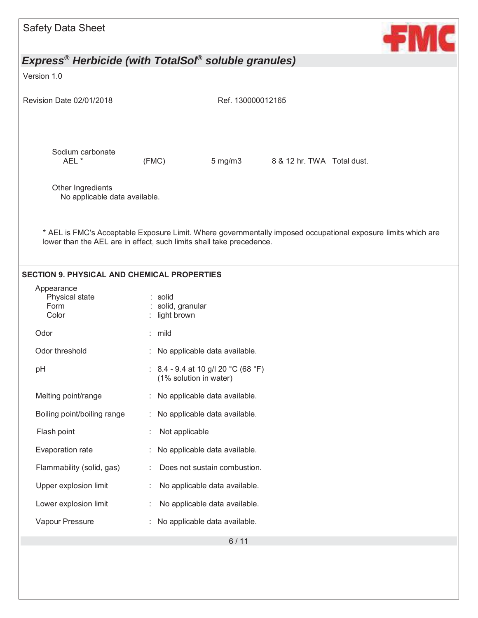| <b>Safety Data Sheet</b>                           | <b>FMC</b>                                                                                                                                                                            |
|----------------------------------------------------|---------------------------------------------------------------------------------------------------------------------------------------------------------------------------------------|
|                                                    | Express <sup>®</sup> Herbicide (with TotalSol <sup>®</sup> soluble granules)                                                                                                          |
| Version 1.0                                        |                                                                                                                                                                                       |
| Revision Date 02/01/2018                           | Ref. 130000012165                                                                                                                                                                     |
| Sodium carbonate<br>AEL *                          | (FMC)<br>$5 \,\mathrm{mg/m}$<br>8 & 12 hr. TWA Total dust.                                                                                                                            |
| Other Ingredients<br>No applicable data available. |                                                                                                                                                                                       |
|                                                    |                                                                                                                                                                                       |
|                                                    | * AEL is FMC's Acceptable Exposure Limit. Where governmentally imposed occupational exposure limits which are<br>lower than the AEL are in effect, such limits shall take precedence. |
| <b>SECTION 9. PHYSICAL AND CHEMICAL PROPERTIES</b> |                                                                                                                                                                                       |
| Appearance<br>Physical state<br>Form<br>Color      | : solid<br>: solid, granular<br>light brown                                                                                                                                           |
| Odor                                               | : mild                                                                                                                                                                                |
| Odor threshold                                     | : No applicable data available.                                                                                                                                                       |
| pH                                                 | 8.4 - 9.4 at 10 g/l 20 °C (68 °F)<br>(1% solution in water)                                                                                                                           |
| Melting point/range                                | No applicable data available.                                                                                                                                                         |
| Boiling point/boiling range                        | No applicable data available.                                                                                                                                                         |
| Flash point                                        | Not applicable                                                                                                                                                                        |
| Evaporation rate                                   | No applicable data available.                                                                                                                                                         |
| Flammability (solid, gas)                          | Does not sustain combustion.                                                                                                                                                          |
| Upper explosion limit                              | No applicable data available.                                                                                                                                                         |
| Lower explosion limit                              | No applicable data available.                                                                                                                                                         |
| Vapour Pressure                                    | No applicable data available.                                                                                                                                                         |
|                                                    | $6/11$                                                                                                                                                                                |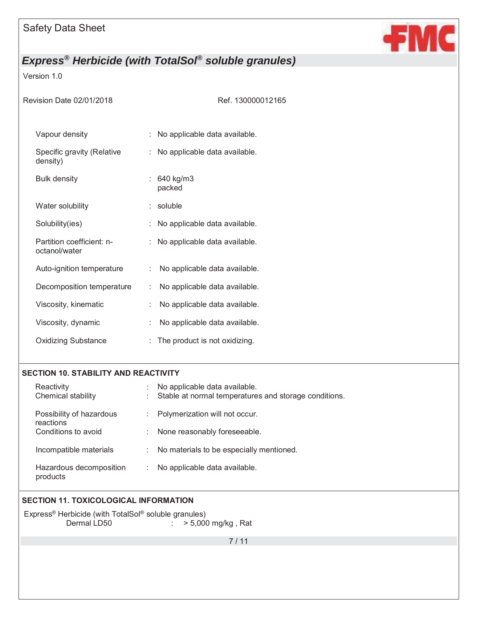

### Version 1.0

| Revision Date 02/01/2018                   | Ref. 130000012165                  |
|--------------------------------------------|------------------------------------|
| Vapour density                             | : No applicable data available.    |
| Specific gravity (Relative<br>density)     | : No applicable data available.    |
| <b>Bulk density</b>                        | : $640 \text{ kg/m3}$<br>packed    |
| Water solubility                           | $:$ soluble                        |
| Solubility(ies)                            | : No applicable data available.    |
| Partition coefficient: n-<br>octanol/water | : No applicable data available.    |
| Auto-ignition temperature                  | No applicable data available.      |
| Decomposition temperature                  | No applicable data available.      |
| Viscosity, kinematic                       | No applicable data available.      |
| Viscosity, dynamic                         | No applicable data available.<br>÷ |
| <b>Oxidizing Substance</b>                 | The product is not oxidizing.      |

#### **SECTION 10. STABILITY AND REACTIVITY**

| Reactivity<br>Chemical stability      | No applicable data available.<br>Stable at normal temperatures and storage conditions.<br>÷ |
|---------------------------------------|---------------------------------------------------------------------------------------------|
| Possibility of hazardous<br>reactions | Polymerization will not occur.<br>$\ddot{\phantom{a}}$                                      |
| Conditions to avoid                   | None reasonably foreseeable.                                                                |
| Incompatible materials                | No materials to be especially mentioned.<br>÷                                               |
| Hazardous decomposition<br>products   | No applicable data available.                                                               |

### **SECTION 11. TOXICOLOGICAL INFORMATION**

Express® Herbicide (with TotalSol® soluble granules) Dermal LD50 : > 5,000 mg/kg, Rat

7 / 11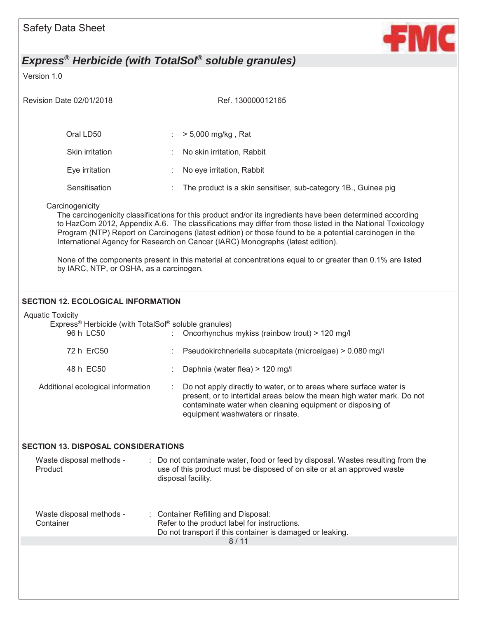

Version 1.0

| Revision Date 02/01/2018                                                                     | Ref. 130000012165                                                                                                                                                                                                                                                                                                                                                                                                     |
|----------------------------------------------------------------------------------------------|-----------------------------------------------------------------------------------------------------------------------------------------------------------------------------------------------------------------------------------------------------------------------------------------------------------------------------------------------------------------------------------------------------------------------|
| Oral LD50                                                                                    | > 5,000 mg/kg, Rat                                                                                                                                                                                                                                                                                                                                                                                                    |
| Skin irritation                                                                              | No skin irritation, Rabbit                                                                                                                                                                                                                                                                                                                                                                                            |
| Eye irritation                                                                               | No eye irritation, Rabbit                                                                                                                                                                                                                                                                                                                                                                                             |
| Sensitisation                                                                                | The product is a skin sensitiser, sub-category 1B., Guinea pig                                                                                                                                                                                                                                                                                                                                                        |
| Carcinogenicity                                                                              | The carcinogenicity classifications for this product and/or its ingredients have been determined according<br>to HazCom 2012, Appendix A.6. The classifications may differ from those listed in the National Toxicology<br>Program (NTP) Report on Carcinogens (latest edition) or those found to be a potential carcinogen in the<br>International Agency for Research on Cancer (IARC) Monographs (latest edition). |
| by IARC, NTP, or OSHA, as a carcinogen.                                                      | None of the components present in this material at concentrations equal to or greater than 0.1% are listed                                                                                                                                                                                                                                                                                                            |
| <b>SECTION 12. ECOLOGICAL INFORMATION</b>                                                    |                                                                                                                                                                                                                                                                                                                                                                                                                       |
| <b>Aquatic Toxicity</b><br>Express® Herbicide (with TotalSol® soluble granules)<br>96 h LC50 | Oncorhynchus mykiss (rainbow trout) > 120 mg/l                                                                                                                                                                                                                                                                                                                                                                        |
| 72 h ErC50                                                                                   | Pseudokirchneriella subcapitata (microalgae) > 0.080 mg/l                                                                                                                                                                                                                                                                                                                                                             |
| 48 h EC50                                                                                    | Daphnia (water flea) > 120 mg/l                                                                                                                                                                                                                                                                                                                                                                                       |
| Additional ecological information                                                            | Do not apply directly to water, or to areas where surface water is<br>present, or to intertidal areas below the mean high water mark. Do not<br>contaminate water when cleaning equipment or disposing of<br>equipment washwaters or rinsate.                                                                                                                                                                         |
| <b>SECTION 13. DISPOSAL CONSIDERATIONS</b>                                                   |                                                                                                                                                                                                                                                                                                                                                                                                                       |
| Waste disposal methods -<br>Product                                                          | Do not contaminate water, food or feed by disposal. Wastes resulting from the<br>use of this product must be disposed of on site or at an approved waste<br>disposal facility.                                                                                                                                                                                                                                        |
| Waste disposal methods -<br>Container                                                        | <b>Container Refilling and Disposal:</b><br>Refer to the product label for instructions.<br>Do not transport if this container is damaged or leaking.<br>8/11                                                                                                                                                                                                                                                         |
|                                                                                              |                                                                                                                                                                                                                                                                                                                                                                                                                       |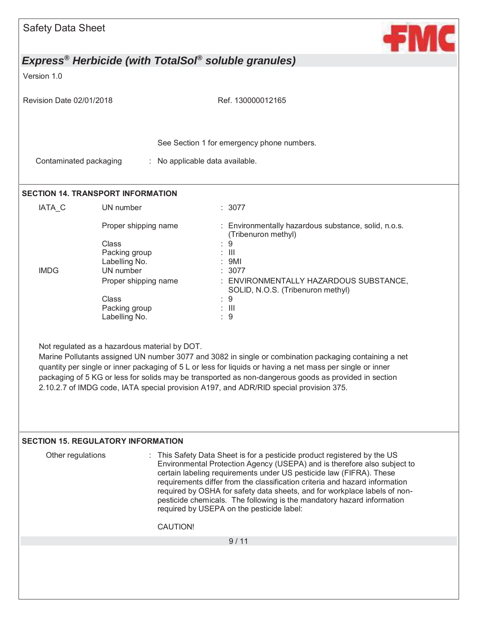|                          | <b>Safety Data Sheet</b>                                                                                                                        | ÷М                                                                                                                                                                                                                                                                                                                                                                                                                                                                                                             |
|--------------------------|-------------------------------------------------------------------------------------------------------------------------------------------------|----------------------------------------------------------------------------------------------------------------------------------------------------------------------------------------------------------------------------------------------------------------------------------------------------------------------------------------------------------------------------------------------------------------------------------------------------------------------------------------------------------------|
|                          |                                                                                                                                                 | Express <sup>®</sup> Herbicide (with TotalSol <sup>®</sup> soluble granules)                                                                                                                                                                                                                                                                                                                                                                                                                                   |
| Version 1.0              |                                                                                                                                                 |                                                                                                                                                                                                                                                                                                                                                                                                                                                                                                                |
| Revision Date 02/01/2018 |                                                                                                                                                 | Ref. 130000012165                                                                                                                                                                                                                                                                                                                                                                                                                                                                                              |
|                          |                                                                                                                                                 | See Section 1 for emergency phone numbers.                                                                                                                                                                                                                                                                                                                                                                                                                                                                     |
| Contaminated packaging   |                                                                                                                                                 | : No applicable data available.                                                                                                                                                                                                                                                                                                                                                                                                                                                                                |
|                          | <b>SECTION 14. TRANSPORT INFORMATION</b>                                                                                                        |                                                                                                                                                                                                                                                                                                                                                                                                                                                                                                                |
| IATA <sub>C</sub>        | UN number                                                                                                                                       | : 3077                                                                                                                                                                                                                                                                                                                                                                                                                                                                                                         |
| <b>IMDG</b>              | Proper shipping name<br>Class<br>Packing group<br>Labelling No.<br>UN number<br>Proper shipping name<br>Class<br>Packing group<br>Labelling No. | : Environmentally hazardous substance, solid, n.o.s.<br>(Tribenuron methyl)<br>9<br>$\mathbb{H}$<br>9MI<br>: 3077<br>: ENVIRONMENTALLY HAZARDOUS SUBSTANCE,<br>SOLID, N.O.S. (Tribenuron methyl)<br>:9<br>$\therefore$ $\Box$<br>: 9                                                                                                                                                                                                                                                                           |
|                          | Not regulated as a hazardous material by DOT.                                                                                                   | Marine Pollutants assigned UN number 3077 and 3082 in single or combination packaging containing a net<br>quantity per single or inner packaging of 5 L or less for liquids or having a net mass per single or inner<br>packaging of 5 KG or less for solids may be transported as non-dangerous goods as provided in section<br>2.10.2.7 of IMDG code, IATA special provision A197, and ADR/RID special provision 375.                                                                                        |
|                          |                                                                                                                                                 |                                                                                                                                                                                                                                                                                                                                                                                                                                                                                                                |
| Other regulations        | <b>SECTION 15. REGULATORY INFORMATION</b>                                                                                                       | : This Safety Data Sheet is for a pesticide product registered by the US<br>Environmental Protection Agency (USEPA) and is therefore also subject to<br>certain labeling requirements under US pesticide law (FIFRA). These<br>requirements differ from the classification criteria and hazard information<br>required by OSHA for safety data sheets, and for workplace labels of non-<br>pesticide chemicals. The following is the mandatory hazard information<br>required by USEPA on the pesticide label: |
|                          |                                                                                                                                                 | <b>CAUTION!</b>                                                                                                                                                                                                                                                                                                                                                                                                                                                                                                |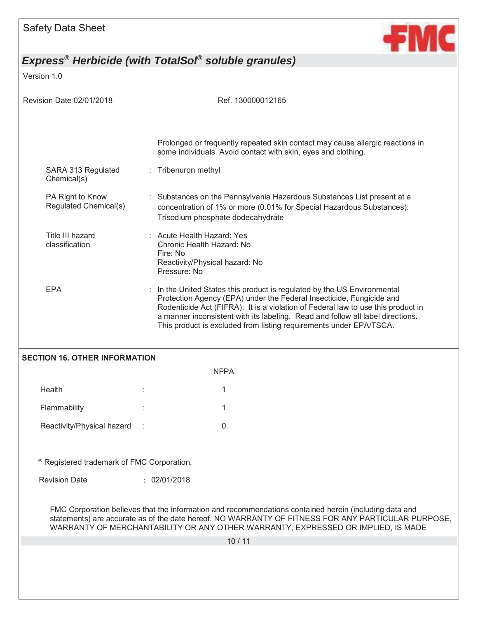

### Version 1.0

| Revision Date 02/01/2018                   | Ref. 130000012165                                                                                                                                                                                                                                                                                                                                                                          |  |  |
|--------------------------------------------|--------------------------------------------------------------------------------------------------------------------------------------------------------------------------------------------------------------------------------------------------------------------------------------------------------------------------------------------------------------------------------------------|--|--|
|                                            | Prolonged or frequently repeated skin contact may cause allergic reactions in<br>some individuals. Avoid contact with skin, eyes and clothing.                                                                                                                                                                                                                                             |  |  |
| SARA 313 Regulated<br>Chemical(s)          | : Tribenuron methyl                                                                                                                                                                                                                                                                                                                                                                        |  |  |
| PA Right to Know<br>Regulated Chemical(s)  | : Substances on the Pennsylvania Hazardous Substances List present at a<br>concentration of 1% or more (0.01% for Special Hazardous Substances):<br>Trisodium phosphate dodecahydrate                                                                                                                                                                                                      |  |  |
| Title III hazard<br>classification         | : Acute Health Hazard: Yes<br>Chronic Health Hazard: No<br>Fire: No<br>Reactivity/Physical hazard: No<br>Pressure: No                                                                                                                                                                                                                                                                      |  |  |
| <b>EPA</b>                                 | In the United States this product is regulated by the US Environmental<br>Protection Agency (EPA) under the Federal Insecticide, Fungicide and<br>Rodenticide Act (FIFRA). It is a violation of Federal law to use this product in<br>a manner inconsistent with its labeling. Read and follow all label directions.<br>This product is excluded from listing requirements under EPA/TSCA. |  |  |
| <b>SECTION 16. OTHER INFORMATION</b>       |                                                                                                                                                                                                                                                                                                                                                                                            |  |  |
|                                            | <b>NFPA</b>                                                                                                                                                                                                                                                                                                                                                                                |  |  |
| Health                                     | 1                                                                                                                                                                                                                                                                                                                                                                                          |  |  |
| Flammability                               | 1                                                                                                                                                                                                                                                                                                                                                                                          |  |  |
| Reactivity/Physical hazard                 | 0                                                                                                                                                                                                                                                                                                                                                                                          |  |  |
| ® Registered trademark of FMC Corporation. |                                                                                                                                                                                                                                                                                                                                                                                            |  |  |
| <b>Revision Date</b>                       | : 02/01/2018                                                                                                                                                                                                                                                                                                                                                                               |  |  |
|                                            | FMC Corporation believes that the information and recommendations contained herein (including data and<br>statements) are accurate as of the date hereof. NO WARRANTY OF FITNESS FOR ANY PARTICULAR PURPOSE,<br>WARRANTY OF MERCHANTABILITY OR ANY OTHER WARRANTY, EXPRESSED OR IMPLIED, IS MADE                                                                                           |  |  |
|                                            | 10/11                                                                                                                                                                                                                                                                                                                                                                                      |  |  |
|                                            |                                                                                                                                                                                                                                                                                                                                                                                            |  |  |